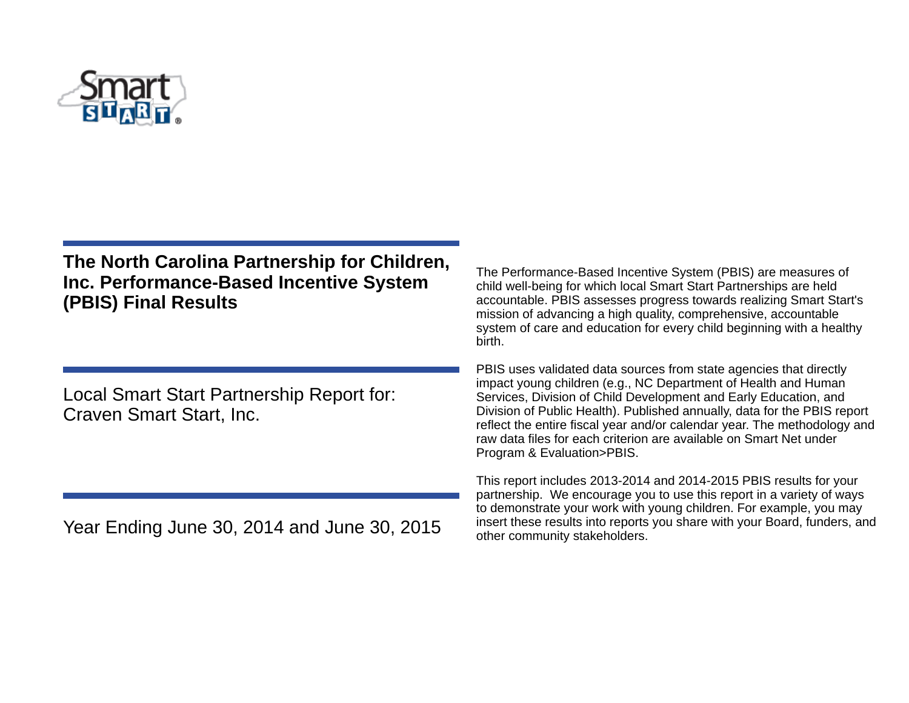

# **The North Carolina Partnership for Children, Inc. Performance-Based Incentive System (PBIS) Final Results**

Local Smart Start Partnership Report for: Craven Smart Start, Inc.

Year Ending June 30, 2014 and June 30, 2015

The Performance-Based Incentive System (PBIS) are measures of child well-being for which local Smart Start Partnerships are held accountable. PBIS assesses progress towards realizing Smart Start's mission of advancing a high quality, comprehensive, accountable system of care and education for every child beginning with a healthy birth.

PBIS uses validated data sources from state agencies that directly impact young children (e.g., NC Department of Health and Human Services, Division of Child Development and Early Education, and Division of Public Health). Published annually, data for the PBIS report reflect the entire fiscal year and/or calendar year. The methodology and raw data files for each criterion are available on Smart Net under Program & Evaluation>PBIS.

This report includes 2013-2014 and 2014-2015 PBIS results for your partnership. We encourage you to use this report in a variety of ways to demonstrate your work with young children. For example, you may insert these results into reports you share with your Board, funders, and other community stakeholders.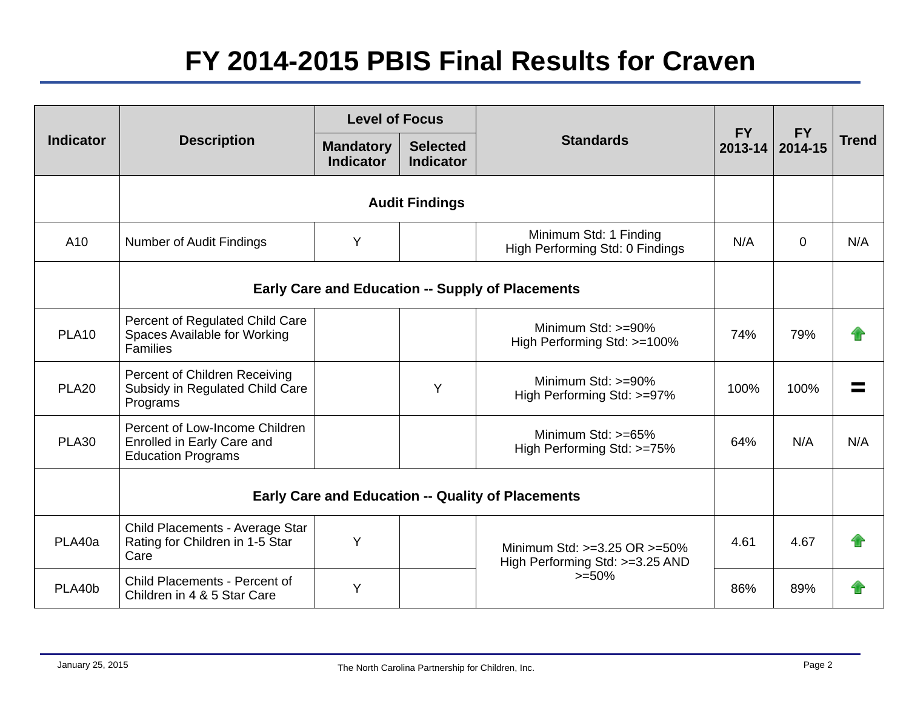# **FY 2014-2015 PBIS Final Results for Craven**

| <b>Indicator</b> |                                                                                           | <b>Level of Focus</b>                |                                     |                                                                                 |                      |                      |              |
|------------------|-------------------------------------------------------------------------------------------|--------------------------------------|-------------------------------------|---------------------------------------------------------------------------------|----------------------|----------------------|--------------|
|                  | <b>Description</b>                                                                        | <b>Mandatory</b><br><b>Indicator</b> | <b>Selected</b><br><b>Indicator</b> | <b>Standards</b>                                                                | <b>FY</b><br>2013-14 | <b>FY</b><br>2014-15 | <b>Trend</b> |
|                  | <b>Audit Findings</b>                                                                     |                                      |                                     |                                                                                 |                      |                      |              |
| A <sub>10</sub>  | <b>Number of Audit Findings</b>                                                           | Y                                    |                                     | Minimum Std: 1 Finding<br>High Performing Std: 0 Findings                       | N/A                  | $\Omega$             | N/A          |
|                  | <b>Early Care and Education -- Supply of Placements</b>                                   |                                      |                                     |                                                                                 |                      |                      |              |
| <b>PLA10</b>     | Percent of Regulated Child Care<br>Spaces Available for Working<br><b>Families</b>        |                                      |                                     | Minimum Std: >=90%<br>High Performing Std: >=100%                               | 74%                  | 79%                  |              |
| <b>PLA20</b>     | Percent of Children Receiving<br>Subsidy in Regulated Child Care<br>Programs              |                                      | Y                                   | Minimum Std: >=90%<br>High Performing Std: >=97%                                | 100%                 | 100%                 |              |
| PLA30            | Percent of Low-Income Children<br>Enrolled in Early Care and<br><b>Education Programs</b> |                                      |                                     | Minimum Std: $>=65%$<br>High Performing Std: >=75%                              | 64%                  | N/A                  | N/A          |
|                  | <b>Early Care and Education -- Quality of Placements</b>                                  |                                      |                                     |                                                                                 |                      |                      |              |
| PLA40a           | Child Placements - Average Star<br>Rating for Children in 1-5 Star<br>Care                | Υ                                    |                                     | Minimum Std: $>=3.25$ OR $>=50\%$<br>High Performing Std: >=3.25 AND<br>$>=50%$ | 4.61                 | 4.67                 |              |
| PLA40b           | Child Placements - Percent of<br>Children in 4 & 5 Star Care                              | Y                                    |                                     |                                                                                 | 86%                  | 89%                  |              |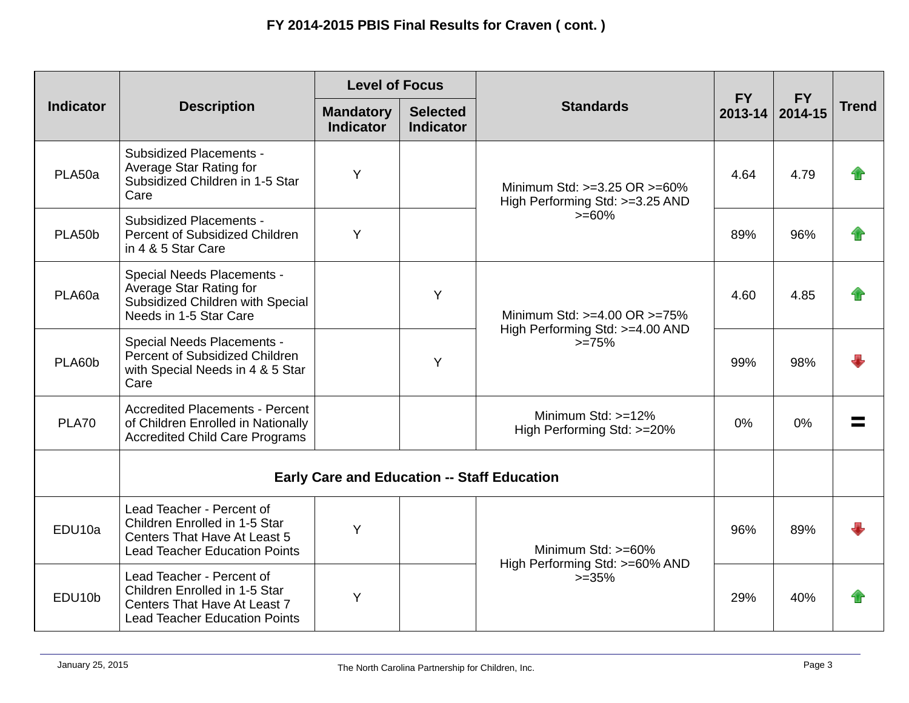| <b>Indicator</b>    | <b>Description</b>                                                                                                                 | <b>Level of Focus</b>                |                                     |                                                                                  |                      |                      |              |
|---------------------|------------------------------------------------------------------------------------------------------------------------------------|--------------------------------------|-------------------------------------|----------------------------------------------------------------------------------|----------------------|----------------------|--------------|
|                     |                                                                                                                                    | <b>Mandatory</b><br><b>Indicator</b> | <b>Selected</b><br><b>Indicator</b> | <b>Standards</b>                                                                 | <b>FY</b><br>2013-14 | <b>FY</b><br>2014-15 | <b>Trend</b> |
| PLA50a              | <b>Subsidized Placements -</b><br>Average Star Rating for<br>Subsidized Children in 1-5 Star<br>Care                               | Y                                    |                                     | Minimum Std: $>=3.25$ OR $>=60\%$<br>High Performing Std: >=3.25 AND<br>$>= 60%$ | 4.64                 | 4.79                 |              |
| PLA50b              | <b>Subsidized Placements -</b><br>Percent of Subsidized Children<br>in 4 & 5 Star Care                                             | Y                                    |                                     |                                                                                  | 89%                  | 96%                  |              |
| PLA60a              | Special Needs Placements -<br>Average Star Rating for<br>Subsidized Children with Special<br>Needs in 1-5 Star Care                |                                      | Y                                   | Minimum Std: >=4.00 OR >=75%<br>High Performing Std: >=4.00 AND<br>$>=75%$       | 4.60                 | 4.85                 |              |
| PLA60b              | Special Needs Placements -<br>Percent of Subsidized Children<br>with Special Needs in 4 & 5 Star<br>Care                           |                                      | Y                                   |                                                                                  | 99%                  | 98%                  |              |
| <b>PLA70</b>        | <b>Accredited Placements - Percent</b><br>of Children Enrolled in Nationally<br><b>Accredited Child Care Programs</b>              |                                      |                                     | Minimum Std: $>=12%$<br>High Performing Std: >=20%                               | 0%                   | 0%                   |              |
|                     | <b>Early Care and Education -- Staff Education</b>                                                                                 |                                      |                                     |                                                                                  |                      |                      |              |
| EDU10a              | Lead Teacher - Percent of<br>Children Enrolled in 1-5 Star<br>Centers That Have At Least 5<br><b>Lead Teacher Education Points</b> | Y                                    |                                     | Minimum Std: >=60%<br>High Performing Std: >=60% AND<br>$>=35%$                  | 96%                  | 89%                  |              |
| EDU <sub>10</sub> b | Lead Teacher - Percent of<br>Children Enrolled in 1-5 Star<br>Centers That Have At Least 7<br><b>Lead Teacher Education Points</b> | Y                                    |                                     |                                                                                  | 29%                  | 40%                  |              |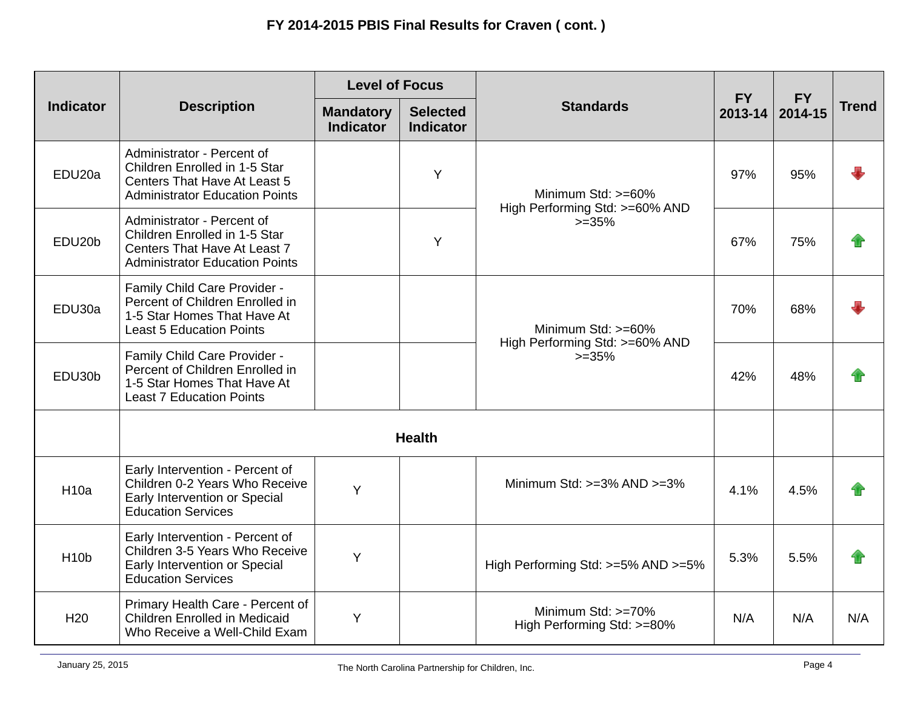| <b>Indicator</b>    | <b>Description</b>                                                                                                                          | <b>Level of Focus</b>                |                                     |                                                                 |                      |                      |              |
|---------------------|---------------------------------------------------------------------------------------------------------------------------------------------|--------------------------------------|-------------------------------------|-----------------------------------------------------------------|----------------------|----------------------|--------------|
|                     |                                                                                                                                             | <b>Mandatory</b><br><b>Indicator</b> | <b>Selected</b><br><b>Indicator</b> | <b>Standards</b>                                                | <b>FY</b><br>2013-14 | <b>FY</b><br>2014-15 | <b>Trend</b> |
| EDU <sub>20a</sub>  | Administrator - Percent of<br>Children Enrolled in 1-5 Star<br><b>Centers That Have At Least 5</b><br><b>Administrator Education Points</b> |                                      | Y                                   | Minimum Std: >=60%<br>High Performing Std: >=60% AND<br>$>=35%$ | 97%                  | 95%                  |              |
| EDU <sub>20</sub> b | Administrator - Percent of<br>Children Enrolled in 1-5 Star<br>Centers That Have At Least 7<br><b>Administrator Education Points</b>        |                                      | Y                                   |                                                                 | 67%                  | 75%                  |              |
| EDU30a              | Family Child Care Provider -<br>Percent of Children Enrolled in<br>1-5 Star Homes That Have At<br><b>Least 5 Education Points</b>           |                                      |                                     | Minimum Std: >=60%<br>High Performing Std: >=60% AND<br>$>=35%$ | 70%                  | 68%                  |              |
| EDU30b              | Family Child Care Provider -<br>Percent of Children Enrolled in<br>1-5 Star Homes That Have At<br><b>Least 7 Education Points</b>           |                                      |                                     |                                                                 | 42%                  | 48%                  |              |
|                     | <b>Health</b>                                                                                                                               |                                      |                                     |                                                                 |                      |                      |              |
| <b>H10a</b>         | Early Intervention - Percent of<br>Children 0-2 Years Who Receive<br>Early Intervention or Special<br><b>Education Services</b>             | Y                                    |                                     | Minimum Std: $>=3\%$ AND $>=3\%$                                | 4.1%                 | 4.5%                 |              |
| H <sub>10</sub> b   | Early Intervention - Percent of<br>Children 3-5 Years Who Receive<br>Early Intervention or Special<br><b>Education Services</b>             | Υ                                    |                                     | High Performing Std: >=5% AND >=5%                              | 5.3%                 | 5.5%                 |              |
| H <sub>20</sub>     | Primary Health Care - Percent of<br><b>Children Enrolled in Medicaid</b><br>Who Receive a Well-Child Exam                                   | Y                                    |                                     | Minimum Std: >=70%<br>High Performing Std: >=80%                | N/A                  | N/A                  | N/A          |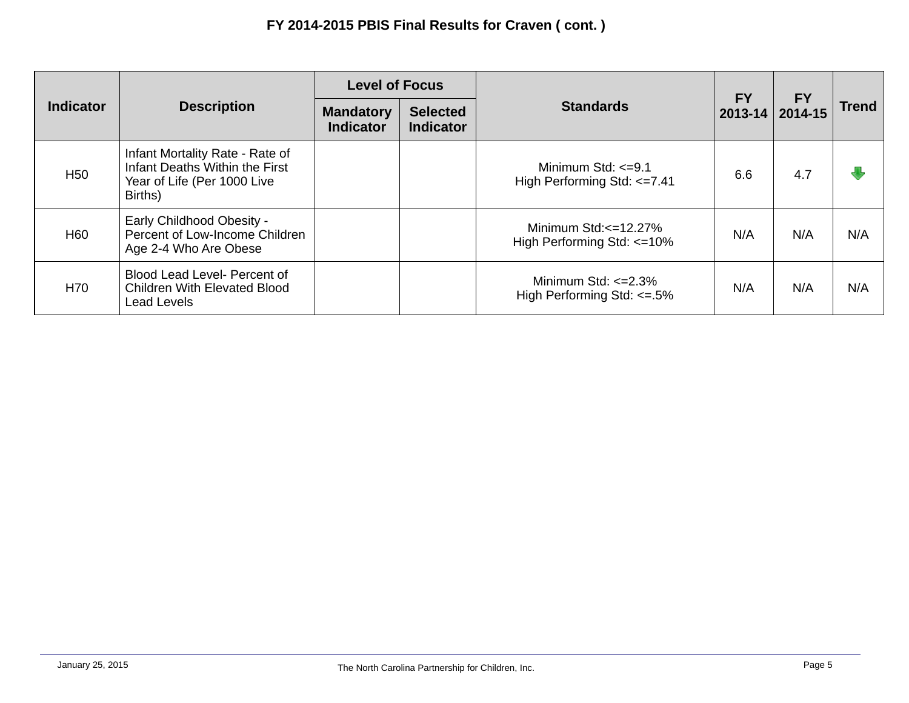| <b>Indicator</b> | <b>Description</b>                                                                                          | <b>Level of Focus</b>                |                                     |                                                              |                          |                      |              |
|------------------|-------------------------------------------------------------------------------------------------------------|--------------------------------------|-------------------------------------|--------------------------------------------------------------|--------------------------|----------------------|--------------|
|                  |                                                                                                             | <b>Mandatory</b><br><b>Indicator</b> | <b>Selected</b><br><b>Indicator</b> | <b>Standards</b>                                             | <b>FY</b><br>$2013 - 14$ | <b>FY</b><br>2014-15 | <b>Trend</b> |
| H <sub>50</sub>  | Infant Mortality Rate - Rate of<br>Infant Deaths Within the First<br>Year of Life (Per 1000 Live<br>Births) |                                      |                                     | Minimum Std: $\leq$ =9.1<br>High Performing Std: <= 7.41     | 6.6                      | 4.7                  |              |
| H <sub>60</sub>  | <b>Early Childhood Obesity -</b><br>Percent of Low-Income Children<br>Age 2-4 Who Are Obese                 |                                      |                                     | Minimum Std: $\leq$ =12.27%<br>High Performing Std: <= 10%   | N/A                      | N/A                  | N/A          |
| H70              | Blood Lead Level- Percent of<br><b>Children With Elevated Blood</b><br><b>Lead Levels</b>                   |                                      |                                     | Minimum Std: $\leq$ 2.3%<br>High Performing Std: $\leq$ =.5% | N/A                      | N/A                  | N/A          |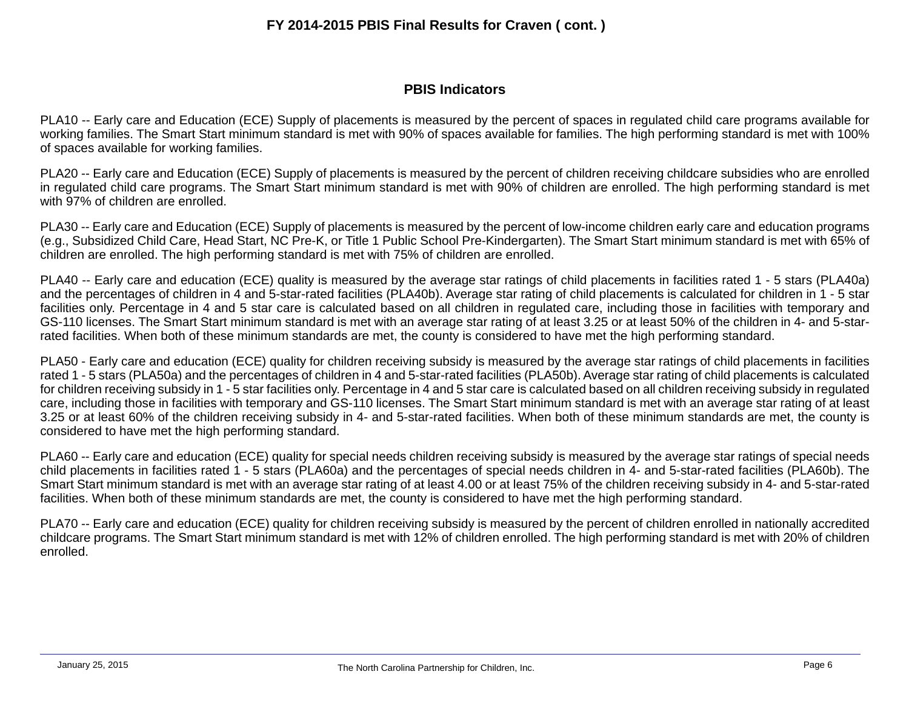### **FY 2014-2015 PBIS Final Results for Craven ( cont. )**

#### **PBIS Indicators**

PLA10 -- Early care and Education (ECE) Supply of placements is measured by the percent of spaces in regulated child care programs available for working families. The Smart Start minimum standard is met with 90% of spaces available for families. The high performing standard is met with 100% of spaces available for working families.

PLA20 -- Early care and Education (ECE) Supply of placements is measured by the percent of children receiving childcare subsidies who are enrolled in regulated child care programs. The Smart Start minimum standard is met with 90% of children are enrolled. The high performing standard is met with 97% of children are enrolled.

PLA30 -- Early care and Education (ECE) Supply of placements is measured by the percent of low-income children early care and education programs (e.g., Subsidized Child Care, Head Start, NC Pre-K, or Title 1 Public School Pre-Kindergarten). The Smart Start minimum standard is met with 65% of children are enrolled. The high performing standard is met with 75% of children are enrolled.

PLA40 -- Early care and education (ECE) quality is measured by the average star ratings of child placements in facilities rated 1 - 5 stars (PLA40a) and the percentages of children in 4 and 5-star-rated facilities (PLA40b). Average star rating of child placements is calculated for children in 1 - 5 star facilities only. Percentage in 4 and 5 star care is calculated based on all children in regulated care, including those in facilities with temporary and GS-110 licenses. The Smart Start minimum standard is met with an average star rating of at least 3.25 or at least 50% of the children in 4- and 5-starrated facilities. When both of these minimum standards are met, the county is considered to have met the high performing standard.

PLA50 - Early care and education (ECE) quality for children receiving subsidy is measured by the average star ratings of child placements in facilities rated 1 - 5 stars (PLA50a) and the percentages of children in 4 and 5-star-rated facilities (PLA50b). Average star rating of child placements is calculated for children receiving subsidy in 1 - 5 star facilities only. Percentage in 4 and 5 star care is calculated based on all children receiving subsidy in regulated care, including those in facilities with temporary and GS-110 licenses. The Smart Start minimum standard is met with an average star rating of at least 3.25 or at least 60% of the children receiving subsidy in 4- and 5-star-rated facilities. When both of these minimum standards are met, the county is considered to have met the high performing standard.

PLA60 -- Early care and education (ECE) quality for special needs children receiving subsidy is measured by the average star ratings of special needs child placements in facilities rated 1 - 5 stars (PLA60a) and the percentages of special needs children in 4- and 5-star-rated facilities (PLA60b). The Smart Start minimum standard is met with an average star rating of at least 4.00 or at least 75% of the children receiving subsidy in 4- and 5-star-rated facilities. When both of these minimum standards are met, the county is considered to have met the high performing standard.

PLA70 -- Early care and education (ECE) quality for children receiving subsidy is measured by the percent of children enrolled in nationally accredited childcare programs. The Smart Start minimum standard is met with 12% of children enrolled. The high performing standard is met with 20% of children enrolled.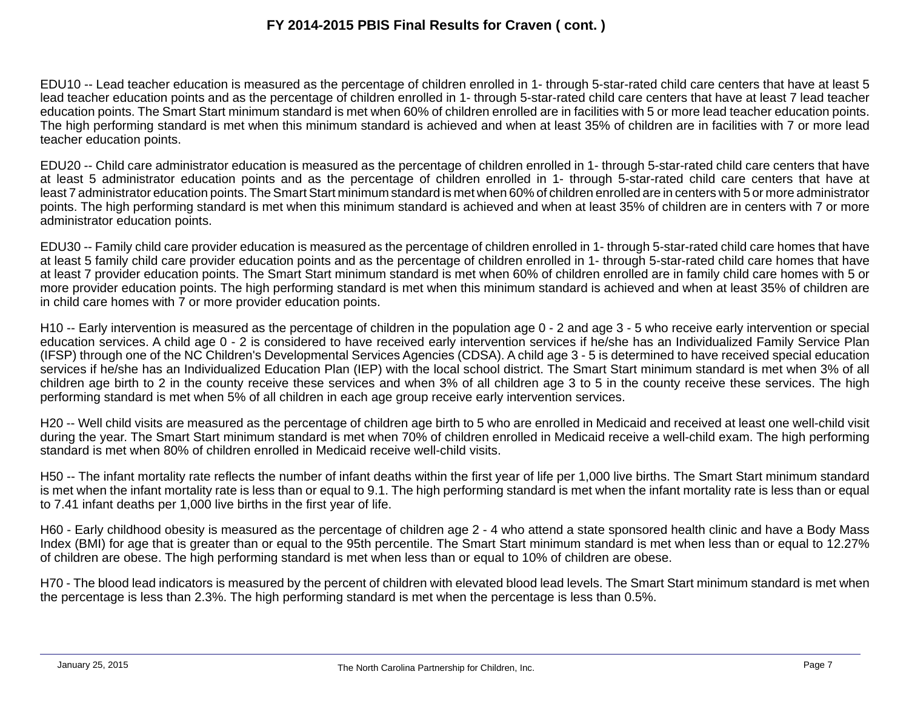# **FY 2014-2015 PBIS Final Results for Craven ( cont. )**

EDU10 -- Lead teacher education is measured as the percentage of children enrolled in 1- through 5-star-rated child care centers that have at least 5 lead teacher education points and as the percentage of children enrolled in 1- through 5-star-rated child care centers that have at least 7 lead teacher education points. The Smart Start minimum standard is met when 60% of children enrolled are in facilities with 5 or more lead teacher education points. The high performing standard is met when this minimum standard is achieved and when at least 35% of children are in facilities with 7 or more lead teacher education points.

EDU20 -- Child care administrator education is measured as the percentage of children enrolled in 1- through 5-star-rated child care centers that have at least 5 administrator education points and as the percentage of children enrolled in 1- through 5-star-rated child care centers that have at least 7 administrator education points. The Smart Start minimum standard is met when 60% of children enrolled are in centers with 5 or more administrator points. The high performing standard is met when this minimum standard is achieved and when at least 35% of children are in centers with 7 or more administrator education points.

EDU30 -- Family child care provider education is measured as the percentage of children enrolled in 1- through 5-star-rated child care homes that have at least 5 family child care provider education points and as the percentage of children enrolled in 1- through 5-star-rated child care homes that have at least 7 provider education points. The Smart Start minimum standard is met when 60% of children enrolled are in family child care homes with 5 or more provider education points. The high performing standard is met when this minimum standard is achieved and when at least 35% of children are in child care homes with 7 or more provider education points.

H10 -- Early intervention is measured as the percentage of children in the population age 0 - 2 and age 3 - 5 who receive early intervention or special education services. A child age 0 - 2 is considered to have received early intervention services if he/she has an Individualized Family Service Plan (IFSP) through one of the NC Children's Developmental Services Agencies (CDSA). A child age 3 - 5 is determined to have received special education services if he/she has an Individualized Education Plan (IEP) with the local school district. The Smart Start minimum standard is met when 3% of all children age birth to 2 in the county receive these services and when 3% of all children age 3 to 5 in the county receive these services. The high performing standard is met when 5% of all children in each age group receive early intervention services.

H20 -- Well child visits are measured as the percentage of children age birth to 5 who are enrolled in Medicaid and received at least one well-child visit during the year. The Smart Start minimum standard is met when 70% of children enrolled in Medicaid receive a well-child exam. The high performing standard is met when 80% of children enrolled in Medicaid receive well-child visits.

H50 -- The infant mortality rate reflects the number of infant deaths within the first year of life per 1,000 live births. The Smart Start minimum standard is met when the infant mortality rate is less than or equal to 9.1. The high performing standard is met when the infant mortality rate is less than or equal to 7.41 infant deaths per 1,000 live births in the first year of life.

H60 - Early childhood obesity is measured as the percentage of children age 2 - 4 who attend a state sponsored health clinic and have a Body Mass Index (BMI) for age that is greater than or equal to the 95th percentile. The Smart Start minimum standard is met when less than or equal to 12.27% of children are obese. The high performing standard is met when less than or equal to 10% of children are obese.

H70 - The blood lead indicators is measured by the percent of children with elevated blood lead levels. The Smart Start minimum standard is met when the percentage is less than 2.3%. The high performing standard is met when the percentage is less than 0.5%.